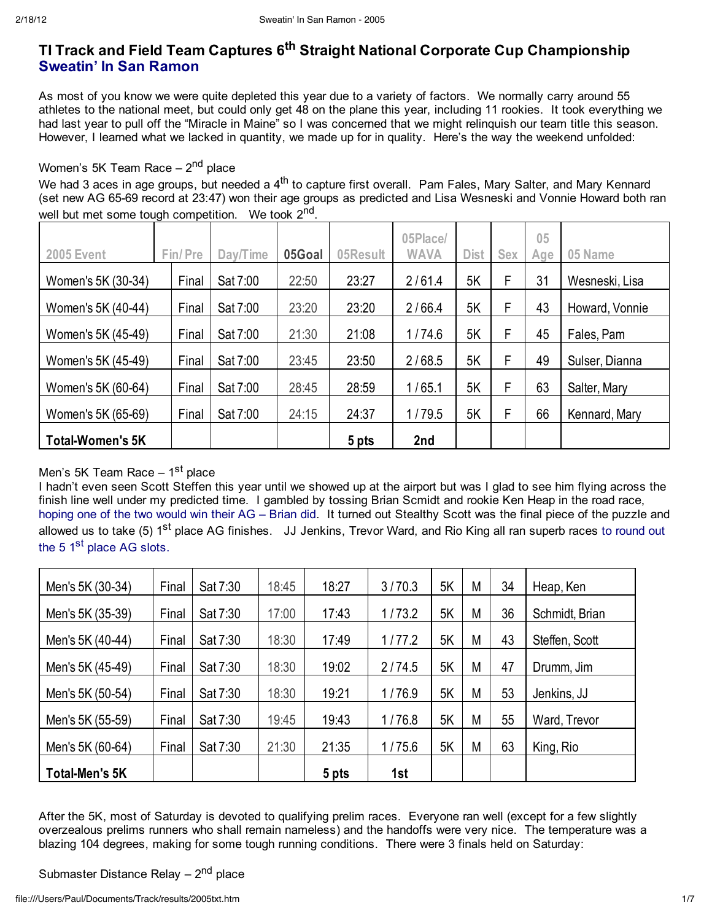# **TI Track and Field Team Captures 6th Straight National Corporate Cup Championship Sweatin' In San Ramon**

As most of you know we were quite depleted this year due to a variety of factors. We normally carry around 55 athletes to the national meet, but could only get 48 on the plane this year, including 11 rookies. It took everything we had last year to pull off the "Miracle in Maine" so I was concerned that we might relinquish our team title this season. However, I learned what we lacked in quantity, we made up for in quality. Here's the way the weekend unfolded:

#### Women's 5K Team Race  $-2<sup>nd</sup>$  place

We had 3 aces in age groups, but needed a 4<sup>th</sup> to capture first overall. Pam Fales, Mary Salter, and Mary Kennard (set new AG 65-69 record at 23:47) won their age groups as predicted and Lisa Wesneski and Vonnie Howard both ran well but met some tough competition. We took 2<sup>nd</sup>.

|                         |         |          |        |          | 05Place/    |             |            | 05  |                |
|-------------------------|---------|----------|--------|----------|-------------|-------------|------------|-----|----------------|
| <b>2005 Event</b>       | Fin/Pre | Day/Time | 05Goal | 05Result | <b>WAVA</b> | <b>Dist</b> | <b>Sex</b> | Age | 05 Name        |
| Women's 5K (30-34)      | Final   | Sat 7:00 | 22:50  | 23:27    | 2/61.4      | 5K          | F          | 31  | Wesneski, Lisa |
| Women's 5K (40-44)      | Final   | Sat 7:00 | 23:20  | 23:20    | 2/66.4      | 5K          | F          | 43  | Howard, Vonnie |
| Women's 5K (45-49)      | Final   | Sat 7:00 | 21:30  | 21:08    | 1/74.6      | 5K          | F          | 45  | Fales, Pam     |
| Women's 5K (45-49)      | Final   | Sat 7:00 | 23:45  | 23:50    | 2/68.5      | 5K          | F          | 49  | Sulser, Dianna |
| Women's 5K (60-64)      | Final   | Sat 7:00 | 28:45  | 28:59    | 1/65.1      | 5K          | F          | 63  | Salter, Mary   |
| Women's 5K (65-69)      | Final   | Sat 7:00 | 24:15  | 24:37    | 1/79.5      | 5K          | F          | 66  | Kennard, Mary  |
| <b>Total-Women's 5K</b> |         |          |        | 5 pts    | 2nd         |             |            |     |                |

#### Men's 5K Team Race  $-1<sup>st</sup>$  place

I hadn't even seen Scott Steffen this year until we showed up at the airport but was I glad to see him flying across the finish line well under my predicted time. I gambled by tossing Brian Scmidt and rookie Ken Heap in the road race, hoping one of the two would win their AG – Brian did. It turned out Stealthy Scott was the final piece of the puzzle and allowed us to take (5) 1<sup>st</sup> place AG finishes. JJ Jenkins, Trevor Ward, and Rio King all ran superb races to round out the 5 1<sup>st</sup> place AG slots.

| Men's 5K (30-34)      | Final | Sat 7:30 | 18:45 | 18:27 | 3/70.3 | 5K | М | 34 | Heap, Ken      |
|-----------------------|-------|----------|-------|-------|--------|----|---|----|----------------|
| Men's 5K (35-39)      | Final | Sat 7:30 | 17:00 | 17:43 | 1/73.2 | 5K | M | 36 | Schmidt, Brian |
| Men's 5K (40-44)      | Final | Sat 7:30 | 18:30 | 17:49 | 1/77.2 | 5K | М | 43 | Steffen, Scott |
| Men's 5K (45-49)      | Final | Sat 7:30 | 18:30 | 19:02 | 2/74.5 | 5K | М | 47 | Drumm, Jim     |
| Men's 5K (50-54)      | Final | Sat 7:30 | 18:30 | 19:21 | 1/76.9 | 5K | М | 53 | Jenkins, JJ    |
| Men's 5K (55-59)      | Final | Sat 7:30 | 19:45 | 19:43 | 1/76.8 | 5K | М | 55 | Ward, Trevor   |
| Men's 5K (60-64)      | Final | Sat 7:30 | 21:30 | 21:35 | 1/75.6 | 5K | М | 63 | King, Rio      |
| <b>Total-Men's 5K</b> |       |          |       | 5 pts | 1st    |    |   |    |                |

After the 5K, most of Saturday is devoted to qualifying prelim races. Everyone ran well (except for a few slightly overzealous prelims runners who shall remain nameless) and the handoffs were very nice. The temperature was a blazing 104 degrees, making for some tough running conditions. There were 3 finals held on Saturday:

Submaster Distance Relay  $-2<sup>nd</sup>$  place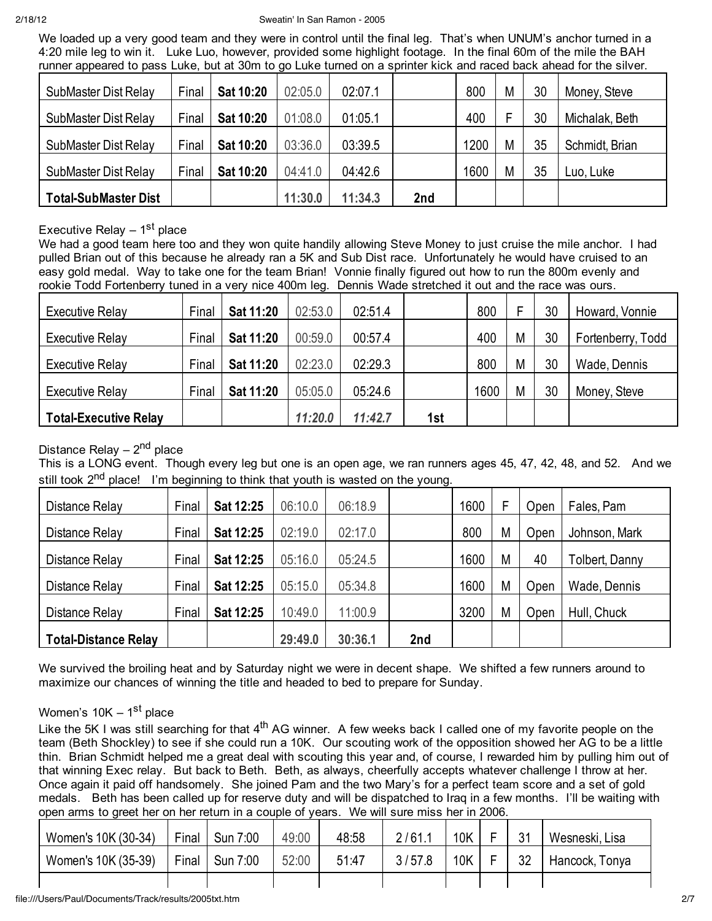We loaded up a very good team and they were in control until the final leg. That's when UNUM's anchor turned in a 4:20 mile leg to win it. Luke Luo, however, provided some highlight footage. In the final 60m of the mile the BAH runner appeared to pass Luke, but at 30m to go Luke turned on a sprinter kick and raced back ahead for the silver.

| . .<br>SubMaster Dist Relay | Final | Sat 10:20 | 02:05.0 | 02:07.1 |     | 800  | M | 30 | Money, Steve   |
|-----------------------------|-------|-----------|---------|---------|-----|------|---|----|----------------|
| SubMaster Dist Relay        | Final | Sat 10:20 | 01:08.0 | 01:05.1 |     | 400  |   | 30 | Michalak, Beth |
| SubMaster Dist Relay        | Final | Sat 10:20 | 03:36.0 | 03:39.5 |     | 1200 | M | 35 | Schmidt, Brian |
| SubMaster Dist Relay        | Final | Sat 10:20 | 04:41.0 | 04:42.6 |     | 1600 | M | 35 | Luo, Luke      |
| <b>Total-SubMaster Dist</b> |       |           | 11:30.0 | 11:34.3 | 2nd |      |   |    |                |

## Executive Relay  $-1$ <sup>st</sup> place

We had a good team here too and they won quite handily allowing Steve Money to just cruise the mile anchor. I had pulled Brian out of this because he already ran a 5K and Sub Dist race. Unfortunately he would have cruised to an easy gold medal. Way to take one for the team Brian! Vonnie finally figured out how to run the 800m evenly and rookie Todd Fortenberry tuned in a very nice 400m leg. Dennis Wade stretched it out and the race was ours.

| <b>Executive Relay</b>       | Final | Sat 11:20 | 02:53.0 | 02:51.4 |     | 800  |   | 30 | Howard, Vonnie    |
|------------------------------|-------|-----------|---------|---------|-----|------|---|----|-------------------|
| Executive Relay              | Final | Sat 11:20 | 00:59.0 | 00:57.4 |     | 400  | M | 30 | Fortenberry, Todd |
| <b>Executive Relay</b>       | Final | Sat 11:20 | 02:23.0 | 02:29.3 |     | 800  | M | 30 | Wade, Dennis      |
| Executive Relay              | Final | Sat 11:20 | 05:05.0 | 05:24.6 |     | 1600 | M | 30 | Money, Steve      |
| <b>Total-Executive Relay</b> |       |           | 11:20.0 | 11:42.7 | 1st |      |   |    |                   |

## Distance Relay  $-2<sup>nd</sup>$  place

This is a LONG event. Though every leg but one is an open age, we ran runners ages 45, 47, 42, 48, and 52. And we still took  $2<sup>nd</sup>$  place! I'm beginning to think that youth is wasted on the young.

| Distance Relay              | Final | Sat 12:25 | 06:10.0 | 06:18.9 |     | 1600 |   | Open | Fales, Pam            |
|-----------------------------|-------|-----------|---------|---------|-----|------|---|------|-----------------------|
| Distance Relay              | Final | Sat 12:25 | 02:19.0 | 02:17.0 |     | 800  | M | Open | Johnson, Mark         |
| Distance Relay              | Final | Sat 12:25 | 05:16.0 | 05:24.5 |     | 1600 | M | 40   | <b>Tolbert, Danny</b> |
| Distance Relay              | Final | Sat 12:25 | 05:15.0 | 05:34.8 |     | 1600 | M | Open | Wade, Dennis          |
| Distance Relay              | Final | Sat 12:25 | 10:49.0 | 11:00.9 |     | 3200 | M | Open | Hull, Chuck           |
| <b>Total-Distance Relay</b> |       |           | 29:49.0 | 30:36.1 | 2nd |      |   |      |                       |

We survived the broiling heat and by Saturday night we were in decent shape. We shifted a few runners around to maximize our chances of winning the title and headed to bed to prepare for Sunday.

#### Women's  $10K - 1$ <sup>st</sup> place

Like the 5K I was still searching for that 4<sup>th</sup> AG winner. A few weeks back I called one of my favorite people on the team (Beth Shockley) to see if she could run a 10K. Our scouting work of the opposition showed her AG to be a little thin. Brian Schmidt helped me a great deal with scouting this year and, of course, I rewarded him by pulling him out of that winning Exec relay. But back to Beth. Beth, as always, cheerfully accepts whatever challenge I throw at her. Once again it paid off handsomely. She joined Pam and the two Mary's for a perfect team score and a set of gold medals. Beth has been called up for reserve duty and will be dispatched to Iraq in a few months. I'll be waiting with open arms to greet her on her return in a couple of years. We will sure miss her in 2006.

| Women's 10K (30-34) | Final | Sun 7:00 | 49:00 | 48:58 | 2/61.1 | 10K | - | 31 | Wesneski, Lisa |
|---------------------|-------|----------|-------|-------|--------|-----|---|----|----------------|
| Women's 10K (35-39) | Final | Sun 7:00 | 52:00 | 51:47 | 3/57.8 | 10K | - | 32 | Hancock, Tonya |
|                     |       |          |       |       |        |     |   |    |                |

#### file:///Users/Paul/Documents/Track/results/2005txt.htm 2/7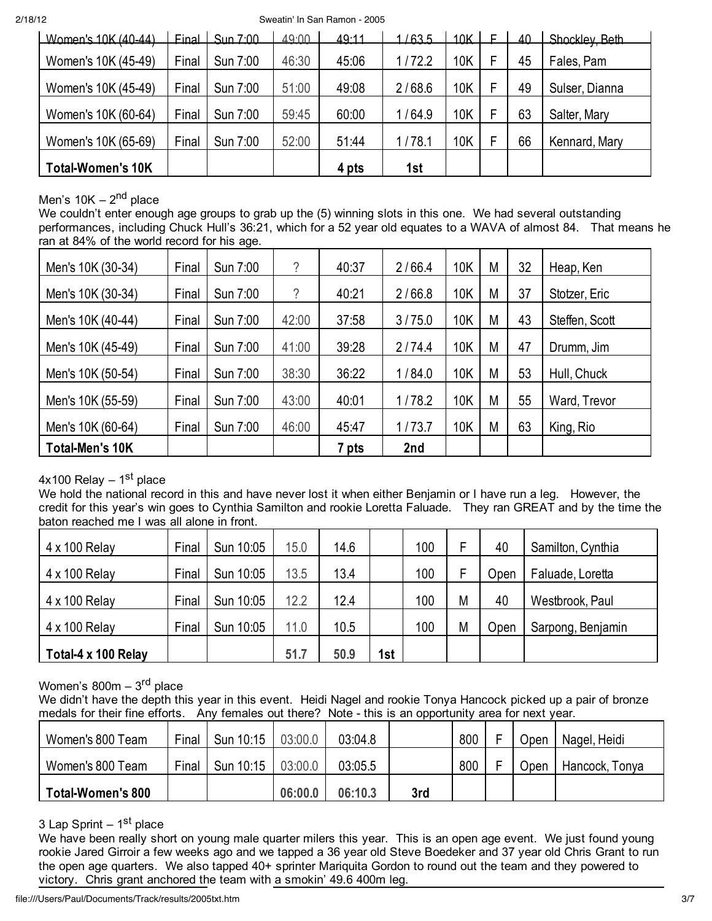2/18/12 Sweatin' In San Ramon - 2005

| Women's 10K (40-44)      |       | Final $\frac{1}{2}$ Sun 7:00 | 49.00 | 49.11 | /63.5  | 10K | 40 | Shockley Beth  |
|--------------------------|-------|------------------------------|-------|-------|--------|-----|----|----------------|
| Women's 10K (45-49)      | Final | Sun 7:00                     | 46:30 | 45:06 | 1/72.2 | 10K | 45 | Fales, Pam     |
| Women's 10K (45-49)      | Final | Sun 7:00                     | 51:00 | 49:08 | 2/68.6 | 10K | 49 | Sulser, Dianna |
| Women's 10K (60-64)      | Final | Sun 7:00                     | 59:45 | 60:00 | 1/64.9 | 10K | 63 | Salter, Mary   |
| Women's 10K (65-69)      | Final | Sun 7:00                     | 52:00 | 51:44 | 1/78.1 | 10K | 66 | Kennard, Mary  |
| <b>Total-Women's 10K</b> |       |                              |       | 4 pts | 1st    |     |    |                |

## Men's  $10K - 2<sup>nd</sup>$  place

We couldn't enter enough age groups to grab up the (5) winning slots in this one. We had several outstanding performances, including Chuck Hull's 36:21, which for a 52 year old equates to a WAVA of almost 84. That means he ran at 84% of the world record for his age.

| Men's 10K (30-34)      | Final | Sun 7:00 | ?     | 40:37 | 2/66.4 | 10K        | M | 32 | Heap, Ken      |
|------------------------|-------|----------|-------|-------|--------|------------|---|----|----------------|
| Men's 10K (30-34)      | Final | Sun 7:00 | ?     | 40:21 | 2/66.8 | <b>10K</b> | M | 37 | Stotzer, Eric  |
| Men's 10K (40-44)      | Final | Sun 7:00 | 42:00 | 37:58 | 3/75.0 | <b>10K</b> | M | 43 | Steffen, Scott |
| Men's 10K (45-49)      | Final | Sun 7:00 | 41:00 | 39:28 | 2/74.4 | 10K        | M | 47 | Drumm, Jim     |
| Men's 10K (50-54)      | Final | Sun 7:00 | 38:30 | 36:22 | 1/84.0 | <b>10K</b> | M | 53 | Hull, Chuck    |
| Men's 10K (55-59)      | Final | Sun 7:00 | 43:00 | 40:01 | 1/78.2 | <b>10K</b> | M | 55 | Ward, Trevor   |
| Men's 10K (60-64)      | Final | Sun 7:00 | 46:00 | 45:47 | 1/73.7 | 10K        | M | 63 | King, Rio      |
| <b>Total-Men's 10K</b> |       |          |       | 7 pts | 2nd    |            |   |    |                |

## $4x100$  Relay –  $1<sup>st</sup>$  place

We hold the national record in this and have never lost it when either Benjamin or I have run a leg. However, the credit for this year's win goes to Cynthia Samilton and rookie Loretta Faluade. They ran GREAT and by the time the baton reached me I was all alone in front.

| 4 x 100 Relay        | Final | Sun 10:05 | 15.0 | 14.6 |     | 100 |   | 40   | Samilton, Cynthia |
|----------------------|-------|-----------|------|------|-----|-----|---|------|-------------------|
| $4 \times 100$ Relay | Final | Sun 10:05 | 13.5 | 13.4 |     | 100 |   | Open | Faluade, Loretta  |
| 4 x 100 Relay        | Final | Sun 10:05 | 12.2 | 12.4 |     | 100 | M | 40   | Westbrook, Paul   |
| 4 x 100 Relay        | Final | Sun 10:05 | 11.0 | 10.5 |     | 100 | M | Open | Sarpong, Benjamin |
| Total-4 x 100 Relay  |       |           | 51.7 | 50.9 | 1st |     |   |      |                   |

Women's  $800m - 3<sup>rd</sup>$  place

We didn't have the depth this year in this event. Heidi Nagel and rookie Tonya Hancock picked up a pair of bronze medals for their fine efforts. Any females out there? Note - this is an opportunity area for next year.

| Women's 800 Team         | Final | Sun 10:15 | 03:00.0 | 03:04.8 |     | 800 | Jpen | Nagel, Heidi   |
|--------------------------|-------|-----------|---------|---------|-----|-----|------|----------------|
| Women's 800 Team         | Final | Sun 10:15 | 03:00.0 | 03:05.5 |     | 800 | Jpen | Hancock, Tonya |
| <b>Total-Women's 800</b> |       |           | 06:00.0 | 06:10.3 | 3rd |     |      |                |

#### 3 Lap Sprint  $-1<sup>st</sup>$  place

We have been really short on young male quarter milers this year. This is an open age event. We just found young rookie Jared Girroir a few weeks ago and we tapped a 36 year old Steve Boedeker and 37 year old Chris Grant to run the open age quarters. We also tapped 40+ sprinter Mariquita Gordon to round out the team and they powered to victory. Chris grant anchored the team with a smokin' 49.6 400m leg.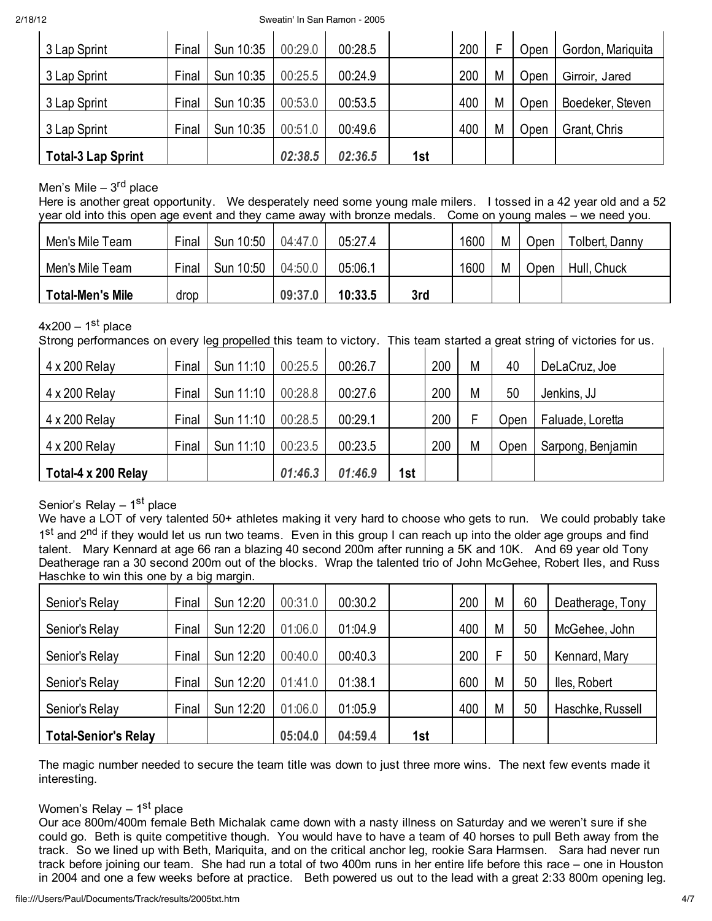2/18/12 Sweatin' In San Ramon - 2005

| 3 Lap Sprint              | Final | Sun 10:35 | 00:29.0 | 00:28.5 |     | 200 |   | Open | Gordon, Mariquita |
|---------------------------|-------|-----------|---------|---------|-----|-----|---|------|-------------------|
| 3 Lap Sprint              | Final | Sun 10:35 | 00:25.5 | 00:24.9 |     | 200 | M | Open | Girroir, Jared    |
| 3 Lap Sprint              | Final | Sun 10:35 | 00:53.0 | 00:53.5 |     | 400 | M | Open | Boedeker, Steven  |
| 3 Lap Sprint              | Final | Sun 10:35 | 00:51.0 | 00:49.6 |     | 400 | M | Open | Grant, Chris      |
| <b>Total-3 Lap Sprint</b> |       |           | 02:38.5 | 02:36.5 | 1st |     |   |      |                   |

## Men's Mile –  $3<sup>rd</sup>$  place

Here is another great opportunity. We desperately need some young male milers. I tossed in a 42 year old and a 52 year old into this open age event and they came away with bronze medals. Come on young males – we need you.

| Men's Mile Team         | Final | Sun 10:50 | 04:47.0 | 05:27.4 |     | 1600 | Μ | Open | Tolbert, Danny |
|-------------------------|-------|-----------|---------|---------|-----|------|---|------|----------------|
| Men's Mile Team         | Final | Sun 10:50 | 04:50.0 | 05:06.1 |     | 1600 | Μ | Open | Hull, Chuck    |
| <b>Total-Men's Mile</b> | drop  |           | 09:37.0 | 10:33.5 | 3rd |      |   |      |                |

## $4x200 - 1$ <sup>st</sup> place

Strong performances on every leg propelled this team to victory. This team started a great string of victories for us.

| 4 x 200 Relay       | Final | Sun 11:10 | 00:25.5 | 00:26.7 |     | 200 | М | 40   | DeLaCruz, Joe     |
|---------------------|-------|-----------|---------|---------|-----|-----|---|------|-------------------|
| 4 x 200 Relay       | Final | Sun 11:10 | 00:28.8 | 00:27.6 |     | 200 | M | 50   | Jenkins, JJ       |
| 4 x 200 Relay       | Final | Sun 11:10 | 00:28.5 | 00:29.1 |     | 200 |   | Open | Faluade, Loretta  |
| 4 x 200 Relay       | Final | Sun 11:10 | 00:23.5 | 00:23.5 |     | 200 | M | Open | Sarpong, Benjamin |
| Total-4 x 200 Relay |       |           | 01:46.3 | 01:46.9 | 1st |     |   |      |                   |

## Senior's Relay  $-1<sup>st</sup>$  place

We have a LOT of very talented 50+ athletes making it very hard to choose who gets to run. We could probably take 1st and 2<sup>nd</sup> if they would let us run two teams. Even in this group I can reach up into the older age groups and find talent. Mary Kennard at age 66 ran a blazing 40 second 200m after running a 5K and 10K. And 69 year old Tony Deatherage ran a 30 second 200m out of the blocks. Wrap the talented trio of John McGehee, Robert Iles, and Russ Haschke to win this one by a big margin.

| Senior's Relay              | Final | Sun 12:20 | 00:31.0 | 00:30.2 |     | 200 | M | 60 | Deatherage, Tony |
|-----------------------------|-------|-----------|---------|---------|-----|-----|---|----|------------------|
| Senior's Relay              | Final | Sun 12:20 | 01:06.0 | 01:04.9 |     | 400 | M | 50 | McGehee, John    |
| Senior's Relay              | Final | Sun 12:20 | 00:40.0 | 00:40.3 |     | 200 | E | 50 | Kennard, Mary    |
| Senior's Relay              | Final | Sun 12:20 | 01:41.0 | 01:38.1 |     | 600 | M | 50 | lles, Robert     |
| Senior's Relay              | Final | Sun 12:20 | 01:06.0 | 01:05.9 |     | 400 | M | 50 | Haschke, Russell |
| <b>Total-Senior's Relay</b> |       |           | 05:04.0 | 04:59.4 | 1st |     |   |    |                  |

The magic number needed to secure the team title was down to just three more wins. The next few events made it interesting.

#### Women's Relay  $-1<sup>st</sup>$  place

Our ace 800m/400m female Beth Michalak came down with a nasty illness on Saturday and we weren't sure if she could go. Beth is quite competitive though. You would have to have a team of 40 horses to pull Beth away from the track. So we lined up with Beth, Mariquita, and on the critical anchor leg, rookie Sara Harmsen. Sara had never run track before joining our team. She had run a total of two 400m runs in her entire life before this race – one in Houston in 2004 and one a few weeks before at practice. Beth powered us out to the lead with a great 2:33 800m opening leg.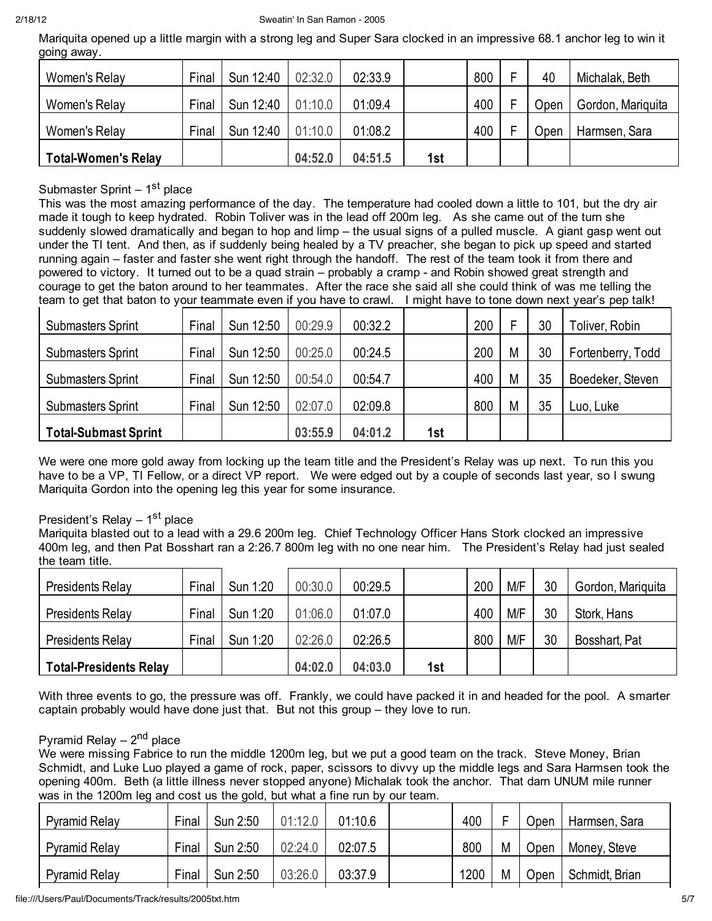Mariquita opened up a little margin with a strong leg and Super Sara clocked in an impressive 68.1 anchor leg to win it going away.

| Women's Relay              | Final | Sun 12:40 | 02:32.0 | 02:33.9 |     | 800 | 40   | Michalak, Beth    |
|----------------------------|-------|-----------|---------|---------|-----|-----|------|-------------------|
| Women's Relay              | Final | Sun 12:40 | 01:10.0 | 01:09.4 |     | 400 | ⊃pen | Gordon, Mariquita |
| Women's Relay              | Final | Sun 12:40 | 01:10.0 | 01:08.2 |     | 400 | Jpen | Harmsen, Sara     |
| <b>Total-Women's Relay</b> |       |           | 04:52.0 | 04:51.5 | 1st |     |      |                   |

### Submaster Sprint  $-1<sup>st</sup>$  place

This was the most amazing performance of the day. The temperature had cooled down a little to 101, but the dry air made it tough to keep hydrated. Robin Toliver was in the lead off 200m leg. As she came out of the turn she suddenly slowed dramatically and began to hop and limp – the usual signs of a pulled muscle. A giant gasp went out under the TI tent. And then, as if suddenly being healed by a TV preacher, she began to pick up speed and started running again – faster and faster she went right through the handoff. The rest of the team took it from there and powered to victory. It turned out to be a quad strain – probably a cramp - and Robin showed great strength and courage to get the baton around to her teammates. After the race she said all she could think of was me telling the team to get that baton to your teammate even if you have to crawl. I might have to tone down next year's pep talk!

| <b>Submasters Sprint</b>    | Final | Sun 12:50 | 00:29.9 | 00:32.2 |     | 200 |   | 30 | Toliver, Robin    |
|-----------------------------|-------|-----------|---------|---------|-----|-----|---|----|-------------------|
| <b>Submasters Sprint</b>    | Final | Sun 12:50 | 00:25.0 | 00:24.5 |     | 200 | M | 30 | Fortenberry, Todd |
| <b>Submasters Sprint</b>    | Final | Sun 12:50 | 00:54.0 | 00:54.7 |     | 400 | M | 35 | Boedeker, Steven  |
| <b>Submasters Sprint</b>    | Final | Sun 12:50 | 02:07.0 | 02:09.8 |     | 800 | M | 35 | Luo, Luke         |
| <b>Total-Submast Sprint</b> |       |           | 03:55.9 | 04:01.2 | 1st |     |   |    |                   |

We were one more gold away from locking up the team title and the President's Relay was up next. To run this you have to be a VP, TI Fellow, or a direct VP report. We were edged out by a couple of seconds last year, so I swung Mariquita Gordon into the opening leg this year for some insurance.

#### President's Relay  $-1$ <sup>st</sup> place

Mariquita blasted out to a lead with a 29.6 200m leg. Chief Technology Officer Hans Stork clocked an impressive 400m leg, and then Pat Bosshart ran a 2:26.7 800m leg with no one near him. The President's Relay had just sealed the team title.

| <b>Presidents Relay</b>       | Final | Sun 1:20 | 00:30.0 | 00:29.5 |     | 200 | M/F | 30 | Gordon, Mariquita |
|-------------------------------|-------|----------|---------|---------|-----|-----|-----|----|-------------------|
| <b>Presidents Relay</b>       | Final | Sun 1:20 | 01:06.0 | 01:07.0 |     | 400 | M/F | 30 | Stork, Hans       |
| <b>Presidents Relay</b>       | Final | Sun 1:20 | 02:26.0 | 02:26.5 |     | 800 | M/F | 30 | Bosshart, Pat     |
| <b>Total-Presidents Relay</b> |       |          | 04:02.0 | 04:03.0 | 1st |     |     |    |                   |

With three events to go, the pressure was off. Frankly, we could have packed it in and headed for the pool. A smarter captain probably would have done just that. But not this group – they love to run.

#### Pyramid Relay  $-2<sup>nd</sup>$  place

We were missing Fabrice to run the middle 1200m leg, but we put a good team on the track. Steve Money, Brian Schmidt, and Luke Luo played a game of rock, paper, scissors to divvy up the middle legs and Sara Harmsen took the opening 400m. Beth (a little illness never stopped anyone) Michalak took the anchor. That darn UNUM mile runner was in the 1200m leg and cost us the gold, but what a fine run by our team.

| <b>Pyramid Relay</b> | Final | Sun 2:50 | 01:12C  | 01:10.6 | 400  | - | Open | Harmsen, Sara  |
|----------------------|-------|----------|---------|---------|------|---|------|----------------|
| <b>Pyramid Relay</b> | Final | Sun 2:50 | 02:24.0 | 02:07.5 | 800  | M | Open | Money, Steve   |
| <b>Pyramid Relay</b> | Final | Sun 2:50 | 03:26.0 | 03:37.9 | 1200 | M | Open | Schmidt, Brian |

file:///Users/Paul/Documents/Track/results/2005txt.htm 5/7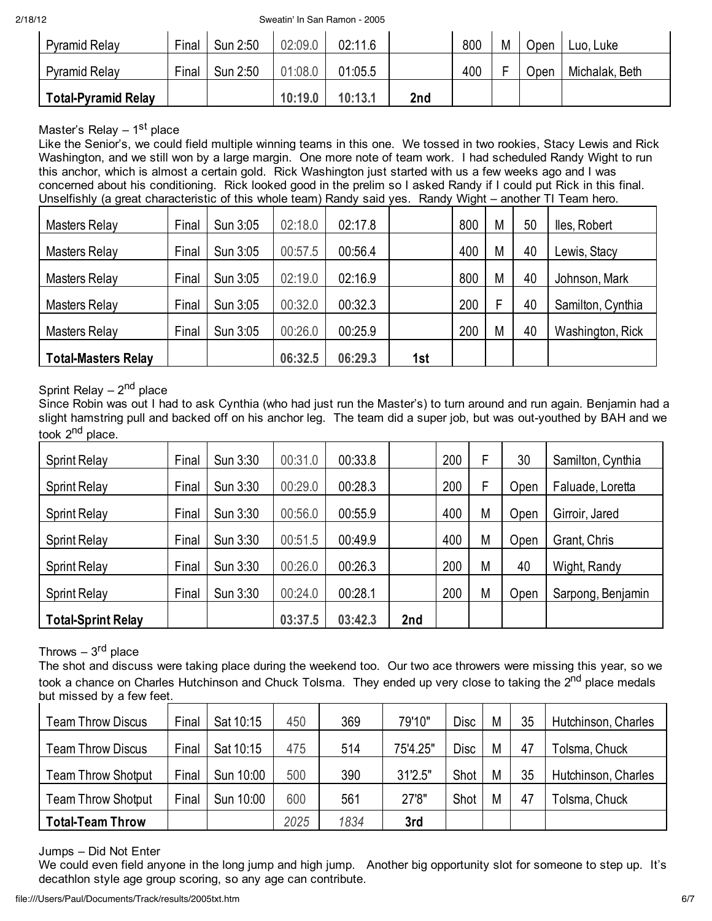2/18/12 Sweatin' In San Ramon - 2005

| <b>Pyramid Relay</b> | Final | Sun 2:50 | 02:09.0 | 02:11.6 |     | 800 | M | Open | Luo, Luke      |
|----------------------|-------|----------|---------|---------|-----|-----|---|------|----------------|
| <b>Pyramid Relay</b> | Final | Sun 2:50 | 01:08.0 | 01:05.5 |     | 400 |   | Open | Michalak, Beth |
| Total-Pyramid Relay  |       |          | 10:19.0 | 10:13.1 | 2nd |     |   |      |                |

## Master's Relay  $-1$ <sup>st</sup> place

Like the Senior's, we could field multiple winning teams in this one. We tossed in two rookies, Stacy Lewis and Rick Washington, and we still won by a large margin. One more note of team work. I had scheduled Randy Wight to run this anchor, which is almost a certain gold. Rick Washington just started with us a few weeks ago and I was concerned about his conditioning. Rick looked good in the prelim so I asked Randy if I could put Rick in this final. Unselfishly (a great characteristic of this whole team) Randy said yes. Randy Wight – another TI Team hero.

| <b>Masters Relay</b>       | Final | Sun 3:05 | 02:18.0 | 02:17.8 |     | 800 | M | 50 | lles, Robert      |
|----------------------------|-------|----------|---------|---------|-----|-----|---|----|-------------------|
| <b>Masters Relay</b>       | Final | Sun 3:05 | 00:57.5 | 00:56.4 |     | 400 | M | 40 | Lewis, Stacy      |
| <b>Masters Relay</b>       | Final | Sun 3:05 | 02:19.0 | 02:16.9 |     | 800 | M | 40 | Johnson, Mark     |
| <b>Masters Relay</b>       | Final | Sun 3:05 | 00:32.0 | 00:32.3 |     | 200 |   | 40 | Samilton, Cynthia |
| <b>Masters Relay</b>       | Final | Sun 3:05 | 00:26.0 | 00:25.9 |     | 200 | M | 40 | Washington, Rick  |
| <b>Total-Masters Relay</b> |       |          | 06:32.5 | 06:29.3 | 1st |     |   |    |                   |

## Sprint Relay  $-2<sup>nd</sup>$  place

Since Robin was out I had to ask Cynthia (who had just run the Master's) to turn around and run again. Benjamin had a slight hamstring pull and backed off on his anchor leg. The team did a super job, but was out-youthed by BAH and we took 2<sup>nd</sup> place.

| <b>Sprint Relay</b>       | Final | Sun 3:30 | 00:31.0 | 00:33.8 |     | 200 | F | 30   | Samilton, Cynthia |
|---------------------------|-------|----------|---------|---------|-----|-----|---|------|-------------------|
| <b>Sprint Relay</b>       | Final | Sun 3:30 | 00:29.0 | 00:28.3 |     | 200 | F | Open | Faluade, Loretta  |
| <b>Sprint Relay</b>       | Final | Sun 3:30 | 00:56.0 | 00:55.9 |     | 400 | M | Open | Girroir, Jared    |
| <b>Sprint Relay</b>       | Final | Sun 3:30 | 00:51.5 | 00:49.9 |     | 400 | M | Open | Grant, Chris      |
| <b>Sprint Relay</b>       | Final | Sun 3:30 | 00:26.0 | 00:26.3 |     | 200 | M | 40   | Wight, Randy      |
| <b>Sprint Relay</b>       | Final | Sun 3:30 | 00:24.0 | 00:28.1 |     | 200 | M | Open | Sarpong, Benjamin |
| <b>Total-Sprint Relay</b> |       |          | 03:37.5 | 03:42.3 | 2nd |     |   |      |                   |

## Throws  $-3<sup>rd</sup>$  place

The shot and discuss were taking place during the weekend too. Our two ace throwers were missing this year, so we took a chance on Charles Hutchinson and Chuck Tolsma. They ended up very close to taking the 2<sup>nd</sup> place medals but missed by a few feet.

| <b>Team Throw Discus</b>  | Final | Sat 10:15 | 450  | 369  | 79'10"   | <b>Disc</b> | M | 35 | Hutchinson, Charles |
|---------------------------|-------|-----------|------|------|----------|-------------|---|----|---------------------|
| <b>Team Throw Discus</b>  | Final | Sat 10:15 | 475  | 514  | 75'4.25" | <b>Disc</b> | M | 47 | Tolsma, Chuck       |
| <b>Team Throw Shotput</b> | Final | Sun 10:00 | 500  | 390  | 31'2.5"  | Shot        | M | 35 | Hutchinson, Charles |
| <b>Team Throw Shotput</b> | Final | Sun 10:00 | 600  | 561  | 27'8"    | Shot        | M | 47 | Tolsma, Chuck       |
| <b>Total-Team Throw</b>   |       |           | 2025 | 1834 | 3rd      |             |   |    |                     |

#### Jumps – Did Not Enter

We could even field anyone in the long jump and high jump. Another big opportunity slot for someone to step up. It's decathlon style age group scoring, so any age can contribute.